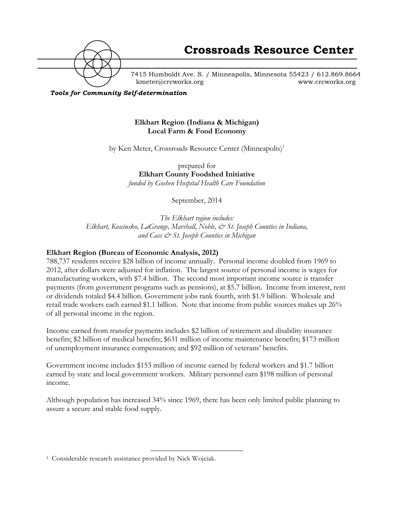

**Crossroads Resource Center**

7415 Humboldt Ave. S. / Minneapolis, Minnesota 55423 / 612.869.8664 kmeter@crcworks.org www.crcworks.org

*Tools for Community Self-determination*

#### **Elkhart Region (Indiana & Michigan) Local Farm & Food Economy**

by Ken Meter, Crossroads Resource Center (Minneapolis)<sup>1</sup>

prepared for **Elkhart County Foodshed Initiative** *funded by Goshen Hospital Health Care Foundation*

September, 2014

*The Elkhart region includes: Elkhart, Kosciusko, LaGrange, Marshall, Noble, & St. Joseph Counties in Indiana, and Cass & St. Joseph Counties in Michigan*

#### **Elkhart Region (Bureau of Economic Analysis, 2012)**

788,737 residents receive \$28 billion of income annually. Personal income doubled from 1969 to 2012, after dollars were adjusted for inflation. The largest source of personal income is wages for manufacturing workers, with \$7.4 billion. The second most important income source is transfer payments (from government programs such as pensions), at \$5.7 billion. Income from interest, rent or dividends totaled \$4.4 billion. Government jobs rank fourth, with \$1.9 billion. Wholesale and retail trade workers each earned \$1.1 billion. Note that income from public sources makes up 26% of all personal income in the region.

Income earned from transfer payments includes \$2 billion of retirement and disability insurance benefits; \$2 billion of medical benefits; \$631 million of income maintenance benefits; \$173 million of unemployment insurance compensation; and \$92 million of veterans' benefits.

Government income includes \$153 million of income earned by federal workers and \$1.7 billion earned by state and local government workers. Military personnel earn \$198 million of personal income.

Although population has increased 34% since 1969, there has been only limited public planning to assure a secure and stable food supply.

 <sup>1</sup> Considerable research assistance provided by Nick Wojciak.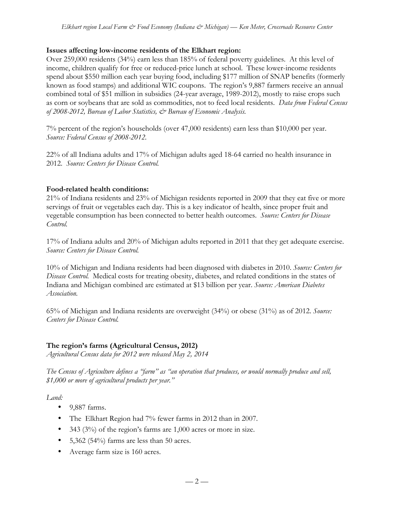## **Issues affecting low-income residents of the Elkhart region:**

Over 259,000 residents (34%) earn less than 185% of federal poverty guidelines. At this level of income, children qualify for free or reduced-price lunch at school. These lower-income residents spend about \$550 million each year buying food, including \$177 million of SNAP benefits (formerly known as food stamps) and additional WIC coupons. The region's 9,887 farmers receive an annual combined total of \$51 million in subsidies (24-year average, 1989-2012), mostly to raise crops such as corn or soybeans that are sold as commodities, not to feed local residents. *Data from Federal Census of 2008-2012, Bureau of Labor Statistics, & Bureau of Economic Analysis.*

7% percent of the region's households (over 47,000 residents) earn less than \$10,000 per year. *Source: Federal Census of 2008-2012.*

22% of all Indiana adults and 17% of Michigan adults aged 18-64 carried no health insurance in 2012. *Source: Centers for Disease Control.*

## **Food-related health conditions:**

21% of Indiana residents and 23% of Michigan residents reported in 2009 that they eat five or more servings of fruit or vegetables each day. This is a key indicator of health, since proper fruit and vegetable consumption has been connected to better health outcomes. *Source: Centers for Disease Control.*

17% of Indiana adults and 20% of Michigan adults reported in 2011 that they get adequate exercise. *Source: Centers for Disease Control.*

10% of Michigan and Indiana residents had been diagnosed with diabetes in 2010. *Source: Centers for Disease Control.* Medical costs for treating obesity, diabetes, and related conditions in the states of Indiana and Michigan combined are estimated at \$13 billion per year. *Source: American Diabetes Association.*

65% of Michigan and Indiana residents are overweight (34%) or obese (31%) as of 2012. *Source: Centers for Disease Control.*

## **The region's farms (Agricultural Census, 2012)**

*Agricultural Census data for 2012 were released May 2, 2014*

*The Census of Agriculture defines a "farm" as "an operation that produces, or would normally produce and sell, \$1,000 or more of agricultural products per year."*

*Land:*

- 9,887 farms.
- The Elkhart Region had 7% fewer farms in 2012 than in 2007.
- 343 (3%) of the region's farms are 1,000 acres or more in size.
- 5,362 (54%) farms are less than 50 acres.
- Average farm size is 160 acres.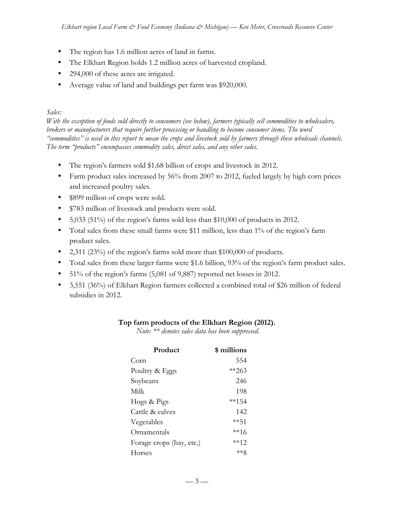- The region has 1.6 million acres of land in farms.
- The Elkhart Region holds 1.2 million acres of harvested cropland.
- 294,000 of these acres are irrigated.
- Average value of land and buildings per farm was \$920,000.

# *Sales:*

*With the exception of foods sold directly to consumers (see below), farmers typically sell commodities to wholesalers, brokers or manufacturers that require further processing or handling to become consumer items. The word "commodities" is used in this report to mean the crops and livestock sold by farmers through these wholesale channels. The term "products" encompasses commodity sales, direct sales, and any other sales.* 

- The region's farmers sold \$1.68 billion of crops and livestock in 2012.
- Farm product sales increased by 56% from 2007 to 2012, fueled largely by high corn prices and increased poultry sales.
- \$899 million of crops were sold.
- \$783 million of livestock and products were sold.
- 5,033 (51%) of the region's farms sold less than \$10,000 of products in 2012.
- Total sales from these small farms were \$11 million, less than 1% of the region's farm product sales.
- 2,311 (23%) of the region's farms sold more than \$100,000 of products.
- Total sales from these larger farms were \$1.6 billion, 93% of the region's farm product sales.
- 51% of the region's farms (5,081 of 9,887) reported net losses in 2012.
- 3,551 (36%) of Elkhart Region farmers collected a combined total of \$26 million of federal subsidies in 2012.

## **Top farm products of the Elkhart Region (2012).**

*Note: \*\* denotes sales data has been suppressed.* 

| Product                  | \$ millions |
|--------------------------|-------------|
| Corn                     | 554         |
| Poultry & Eggs           | $*$ $*$ 263 |
| Soybeans                 | 246         |
| Milk                     | 198         |
| Hogs & Pigs              | **154       |
| Cattle & calves          | 142         |
| Vegetables               | **51        |
| Ornamentals              | **16        |
| Forage crops (hay, etc.) | **12        |
| Horses                   | ∗∗я         |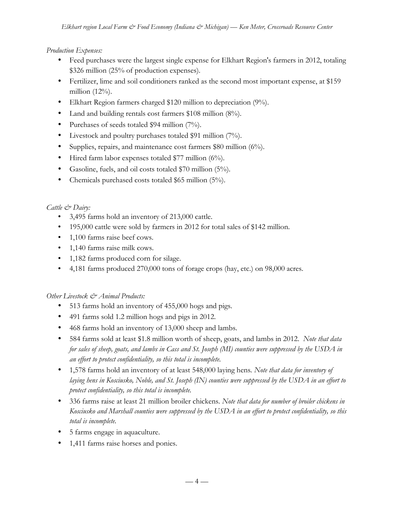## *Production Expenses:*

- Feed purchases were the largest single expense for Elkhart Region's farmers in 2012, totaling \$326 million (25% of production expenses).
- Fertilizer, lime and soil conditioners ranked as the second most important expense, at \$159 million (12%).
- Elkhart Region farmers charged \$120 million to depreciation (9%).
- Land and building rentals cost farmers \$108 million (8%).
- Purchases of seeds totaled \$94 million (7%).
- Livestock and poultry purchases totaled \$91 million (7%).
- Supplies, repairs, and maintenance cost farmers \$80 million (6%).
- Hired farm labor expenses totaled \$77 million (6%).
- Gasoline, fuels, and oil costs totaled \$70 million (5%).
- Chemicals purchased costs totaled \$65 million (5%).

## *Cattle & Dairy:*

- 3,495 farms hold an inventory of 213,000 cattle.
- 195,000 cattle were sold by farmers in 2012 for total sales of \$142 million.
- 1,100 farms raise beef cows.
- 1,140 farms raise milk cows.
- 1,182 farms produced corn for silage.
- 4,181 farms produced 270,000 tons of forage crops (hay, etc.) on 98,000 acres.

## *Other Livestock & Animal Products:*

- 513 farms hold an inventory of 455,000 hogs and pigs.
- 491 farms sold 1.2 million hogs and pigs in 2012.
- 468 farms hold an inventory of 13,000 sheep and lambs.
- 584 farms sold at least \$1.8 million worth of sheep, goats, and lambs in 2012. *Note that data for sales of sheep, goats, and lambs in Cass and St. Joseph (MI) counties were suppressed by the USDA in an effort to protect confidentiality, so this total is incomplete.*
- 1,578 farms hold an inventory of at least 548,000 laying hens*. Note that data for inventory of laying hens in Kosciusko, Noble, and St. Joseph (IN) counties were suppressed by the USDA in an effort to protect confidentiality, so this total is incomplete.*
- 336 farms raise at least 21 million broiler chickens. *Note that data for number of broiler chickens in Kosciusko and Marshall counties were suppressed by the USDA in an effort to protect confidentiality, so this total is incomplete.*
- 5 farms engage in aquaculture.
- 1,411 farms raise horses and ponies.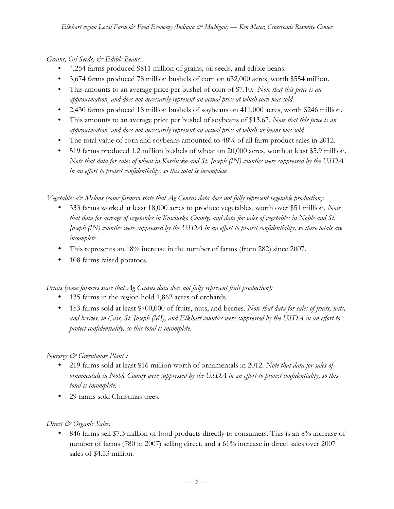*Grains, Oil Seeds, & Edible Beans:*

- 4,254 farms produced \$811 million of grains, oil seeds, and edible beans.
- 3,674 farms produced 78 million bushels of corn on 632,000 acres, worth \$554 million.
- This amounts to an average price per bushel of corn of \$7.10. *Note that this price is an approximation, and does not necessarily represent an actual price at which corn was sold.*
- 2,430 farms produced 18 million bushels of soybeans on 411,000 acres, worth \$246 million.
- This amounts to an average price per bushel of soybeans of \$13.67. *Note that this price is an approximation, and does not necessarily represent an actual price at which soybeans was sold.*
- The total value of corn and soybeans amounted to 48% of all farm product sales in 2012.
- 519 farms produced 1.2 million bushels of wheat on 20,000 acres, worth at least \$5.9 million. *Note that data for sales of wheat in Kosciusko and St. Joseph (IN) counties were suppressed by the USDA in an effort to protect confidentiality, so this total is incomplete.*

*Vegetables & Melons (some farmers state that Ag Census data does not fully represent vegetable production):*

- 333 farms worked at least 18,000 acres to produce vegetables, worth over \$51 million. *Note that data for acreage of vegetables in Kosciusko County, and data for sales of vegetables in Noble and St. Joseph (IN) counties were suppressed by the USDA in an effort to protect confidentiality, so these totals are incomplete.*
- This represents an 18% increase in the number of farms (from 282) since 2007.
- 108 farms raised potatoes*.*

*Fruits (some farmers state that Ag Census data does not fully represent fruit production):*

- 135 farms in the region hold 1,862 acres of orchards.
- 153 farms sold at least \$700,000 of fruits, nuts, and berries*. Note that data for sales of fruits, nuts, and berries, in Cass, St. Joseph (MI), and Elkhart counties were suppressed by the USDA in an effort to protect confidentiality, so this total is incomplete.*

*Nursery & Greenhouse Plants:*

- 219 farms sold at least \$16 million worth of ornamentals in 2012. *Note that data for sales of ornamentals in Noble County were suppressed by the USDA in an effort to protect confidentiality, so this total is incomplete.*
- 29 farms sold Christmas trees.

## *Direct & Organic Sales:*

• 846 farms sell \$7.3 million of food products directly to consumers. This is an 8% increase of number of farms (780 in 2007) selling direct, and a 61% increase in direct sales over 2007 sales of \$4.53 million.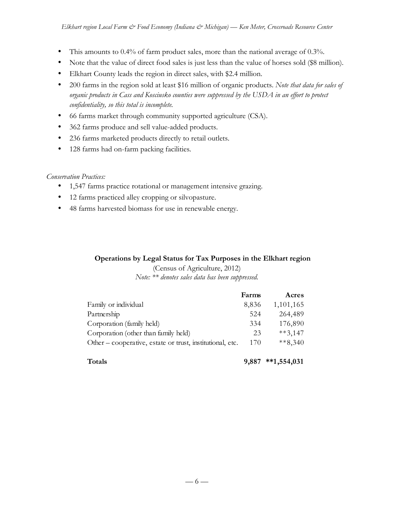- This amounts to 0.4% of farm product sales, more than the national average of 0.3%.
- Note that the value of direct food sales is just less than the value of horses sold (\$8 million).
- Elkhart County leads the region in direct sales, with \$2.4 million.
- 200 farms in the region sold at least \$16 million of organic products. *Note that data for sales of organic products in Cass and Kosciusko counties were suppressed by the USDA in an effort to protect confidentiality, so this total is incomplete.*
- 66 farms market through community supported agriculture (CSA).
- 362 farms produce and sell value-added products.
- 236 farms marketed products directly to retail outlets.
- 128 farms had on-farm packing facilities*.*

## *Conservation Practices:*

- 1,547 farms practice rotational or management intensive grazing.
- 12 farms practiced alley cropping or silvopasture.
- 48 farms harvested biomass for use in renewable energy.

# **Operations by Legal Status for Tax Purposes in the Elkhart region**

(Census of Agriculture, 2012) *Note: \*\* denotes sales data has been suppressed.*

|                                                           | Farms | Acres         |
|-----------------------------------------------------------|-------|---------------|
| Family or individual                                      | 8,836 | 1,101,165     |
| Partnership                                               | 524   | 264,489       |
| Corporation (family held)                                 | 334   | 176,890       |
| Corporation (other than family held)                      | 23    | $***3,147$    |
| Other – cooperative, estate or trust, institutional, etc. | 170   | $***8,340$    |
|                                                           |       |               |
| <b>Totals</b>                                             | 9.887 | $**1,554,031$ |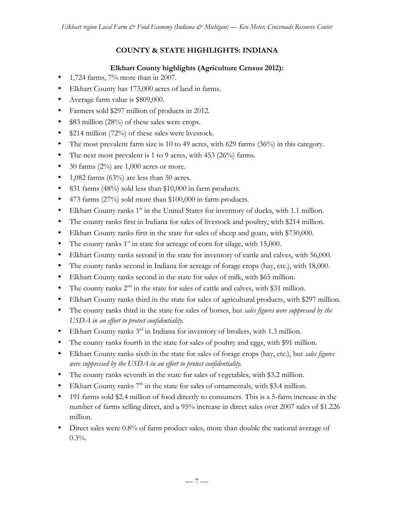# **COUNTY & STATE HIGHLIGHTS: INDIANA**

## **Elkhart County highlights (Agriculture Census 2012):**

- 1,724 farms, 7% more than in 2007.
- Elkhart County has 173,000 acres of land in farms.
- Average farm value is \$809,000.
- Farmers sold \$297 million of products in 2012.
- \$83 million (28%) of these sales were crops.
- \$214 million (72%) of these sales were livestock.
- The most prevalent farm size is 10 to 49 acres, with 629 farms  $(36%)$  in this category.
- The next most prevalent is 1 to 9 acres, with 453 (26%) farms.
- 30 farms  $(2\%)$  are 1,000 acres or more.
- 1,082 farms  $(63%)$  are less than 50 acres.
- 831 farms (48%) sold less than \$10,000 in farm products.
- 473 farms (27%) sold more than \$100,000 in farm products.
- Elkhart County ranks  $1<sup>st</sup>$  in the United States for inventory of ducks, with 1.1 million.
- The county ranks first in Indiana for sales of livestock and poultry, with \$214 million.
- Elkhart County ranks first in the state for sales of sheep and goats, with \$730,000.
- The county ranks  $1<sup>st</sup>$  in state for acreage of corn for silage, with 15,000.
- Elkhart County ranks second in the state for inventory of cattle and calves, with 56,000.
- The county ranks second in Indiana for acreage of forage crops (hay, etc.), with 18,000.
- Elkhart County ranks second in the state for sales of milk, with \$65 million.
- The county ranks  $2^{nd}$  in the state for sales of cattle and calves, with \$31 million.
- Elkhart County ranks third in the state for sales of agricultural products, with \$297 million.
- The county ranks third in the state for sales of horses, but *sales figures were suppressed by the USDA in an effort to protect confidentiality.*
- Elkhart County ranks  $3^{rd}$  in Indiana for inventory of broilers, with 1.3 million.
- The county ranks fourth in the state for sales of poultry and eggs, with \$91 million.
- Elkhart County ranks sixth in the state for sales of forage crops (hay, etc.), but *sales figures were suppressed by the USDA in an effort to protect confidentiality.*
- The county ranks seventh in the state for sales of vegetables, with \$3.2 million.
- Elkhart County ranks  $7<sup>th</sup>$  in the state for sales of ornamentals, with \$3.4 million.
- 191 farms sold \$2.4 million of food directly to consumers. This is a 5-farm increase in the number of farms selling direct, and a 95% increase in direct sales over 2007 sales of \$1.226 million.
- Direct sales were 0.8% of farm product sales, more than double the national average of 0.3%.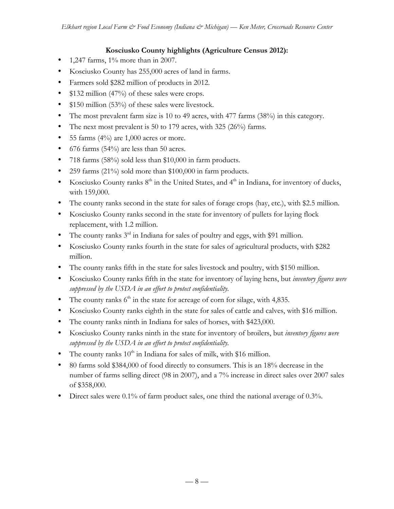## **Kosciusko County highlights (Agriculture Census 2012):**

- 1,247 farms,  $1\%$  more than in 2007.
- Kosciusko County has 255,000 acres of land in farms.
- Farmers sold \$282 million of products in 2012.
- \$132 million (47%) of these sales were crops.
- \$150 million (53%) of these sales were livestock.
- The most prevalent farm size is 10 to 49 acres, with 477 farms (38%) in this category.
- The next most prevalent is 50 to 179 acres, with 325 (26%) farms.
- 55 farms  $(4\%)$  are 1,000 acres or more.
- 676 farms (54%) are less than 50 acres.
- 718 farms (58%) sold less than \$10,000 in farm products.
- 259 farms (21%) sold more than \$100,000 in farm products.
- Kosciusko County ranks  $8<sup>th</sup>$  in the United States, and  $4<sup>th</sup>$  in Indiana, for inventory of ducks, with 159,000.
- The county ranks second in the state for sales of forage crops (hay, etc.), with \$2.5 million.
- Kosciusko County ranks second in the state for inventory of pullets for laying flock replacement, with 1.2 million.
- The county ranks  $3^{rd}$  in Indiana for sales of poultry and eggs, with \$91 million.
- Kosciusko County ranks fourth in the state for sales of agricultural products, with \$282 million.
- The county ranks fifth in the state for sales livestock and poultry, with \$150 million.
- Kosciusko County ranks fifth in the state for inventory of laying hens, but *inventory figures were suppressed by the USDA in an effort to protect confidentiality.*
- The county ranks  $6<sup>th</sup>$  in the state for acreage of corn for silage, with 4,835.
- Kosciusko County ranks eighth in the state for sales of cattle and calves, with \$16 million.
- The county ranks ninth in Indiana for sales of horses, with \$423,000.
- Kosciusko County ranks ninth in the state for inventory of broilers, but *inventory figures were suppressed by the USDA in an effort to protect confidentiality.*
- The county ranks  $10^{th}$  in Indiana for sales of milk, with \$16 million.
- 80 farms sold \$384,000 of food directly to consumers. This is an 18% decrease in the number of farms selling direct (98 in 2007), and a 7% increase in direct sales over 2007 sales of \$358,000.
- Direct sales were 0.1% of farm product sales, one third the national average of 0.3%.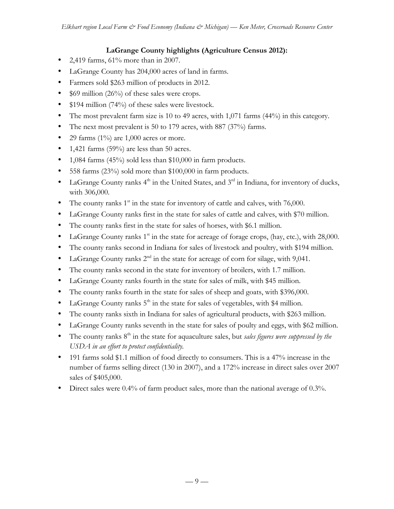## **LaGrange County highlights (Agriculture Census 2012):**

- 2,419 farms,  $61\%$  more than in 2007.
- LaGrange County has 204,000 acres of land in farms.
- Farmers sold \$263 million of products in 2012.
- \$69 million (26%) of these sales were crops.
- \$194 million (74%) of these sales were livestock.
- The most prevalent farm size is 10 to 49 acres, with 1,071 farms (44%) in this category.
- The next most prevalent is 50 to 179 acres, with 887 (37%) farms.
- 29 farms  $(1\%)$  are 1,000 acres or more.
- 1,421 farms  $(59\%)$  are less than 50 acres.
- 1,084 farms  $(45%)$  sold less than \$10,000 in farm products.
- 558 farms (23%) sold more than \$100,000 in farm products.
- LaGrange County ranks  $4<sup>th</sup>$  in the United States, and  $3<sup>rd</sup>$  in Indiana, for inventory of ducks, with 306,000.
- The county ranks  $1<sup>st</sup>$  in the state for inventory of cattle and calves, with 76,000.
- LaGrange County ranks first in the state for sales of cattle and calves, with \$70 million.
- The county ranks first in the state for sales of horses, with \$6.1 million.
- LaGrange County ranks  $1<sup>st</sup>$  in the state for acreage of forage crops, (hay, etc.), with 28,000.
- The county ranks second in Indiana for sales of livestock and poultry, with \$194 million.
- LaGrange County ranks  $2^{nd}$  in the state for acreage of corn for silage, with 9,041.
- The county ranks second in the state for inventory of broilers, with 1.7 million.
- LaGrange County ranks fourth in the state for sales of milk, with \$45 million.
- The county ranks fourth in the state for sales of sheep and goats, with \$396,000.
- LaGrange County ranks  $5<sup>th</sup>$  in the state for sales of vegetables, with \$4 million.
- The county ranks sixth in Indiana for sales of agricultural products, with \$263 million.
- LaGrange County ranks seventh in the state for sales of poulty and eggs, with \$62 million.
- The county ranks 8<sup>th</sup> in the state for aquaculture sales, but *sales figures were suppressed by the USDA in an effort to protect confidentiality.*
- 191 farms sold \$1.1 million of food directly to consumers. This is a 47% increase in the number of farms selling direct (130 in 2007), and a 172% increase in direct sales over 2007 sales of \$405,000.
- Direct sales were 0.4% of farm product sales, more than the national average of 0.3%.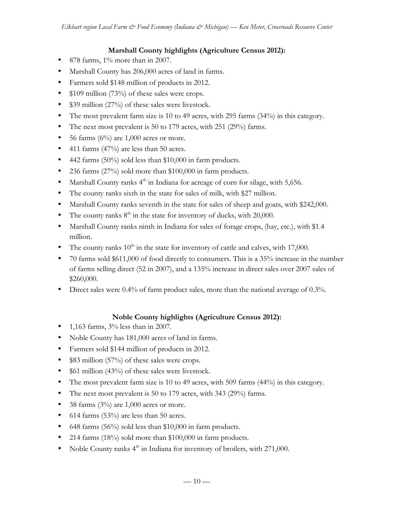## **Marshall County highlights (Agriculture Census 2012):**

- 878 farms, 1% more than in 2007.
- Marshall County has 206,000 acres of land in farms.
- Farmers sold \$148 million of products in 2012.
- \$109 million (73%) of these sales were crops.
- \$39 million (27%) of these sales were livestock.
- The most prevalent farm size is 10 to 49 acres, with 295 farms (34%) in this category.
- The next most prevalent is 50 to 179 acres, with 251 (29%) farms.
- 56 farms  $(6\%)$  are 1,000 acres or more.
- 411 farms  $(47%)$  are less than 50 acres.
- 442 farms (50%) sold less than \$10,000 in farm products.
- 236 farms (27%) sold more than \$100,000 in farm products.
- Marshall County ranks  $4<sup>th</sup>$  in Indiana for acreage of corn for silage, with 5,656.
- The county ranks sixth in the state for sales of milk, with \$27 million.
- Marshall County ranks seventh in the state for sales of sheep and goats, with \$242,000.
- The county ranks  $8<sup>th</sup>$  in the state for inventory of ducks, with 20,000.
- Marshall County ranks ninth in Indiana for sales of forage crops, (hay, etc.), with \$1.4 million.
- The county ranks  $10^{th}$  in the state for inventory of cattle and calves, with 17,000.
- 70 farms sold \$611,000 of food directly to consumers. This is a 35% increase in the number of farms selling direct (52 in 2007), and a 135% increase in direct sales over 2007 sales of \$260,000.
- Direct sales were 0.4% of farm product sales, more than the national average of 0.3%.

### **Noble County highlights (Agriculture Census 2012):**

- 1,163 farms,  $3\%$  less than in 2007.
- Noble County has 181,000 acres of land in farms.
- Farmers sold \$144 million of products in 2012.
- \$83 million (57%) of these sales were crops.
- \$61 million (43%) of these sales were livestock.
- The most prevalent farm size is 10 to 49 acres, with 509 farms (44%) in this category.
- The next most prevalent is 50 to 179 acres, with 343 (29%) farms.
- 38 farms  $(3\%)$  are 1,000 acres or more.
- 614 farms (53%) are less than 50 acres.
- 648 farms (56%) sold less than \$10,000 in farm products.
- 214 farms (18%) sold more than \$100,000 in farm products.
- Noble County ranks 4<sup>th</sup> in Indiana for inventory of broilers, with 271,000.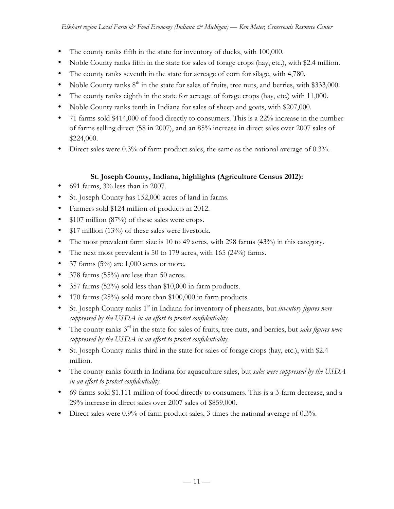- The county ranks fifth in the state for inventory of ducks, with 100,000.
- Noble County ranks fifth in the state for sales of forage crops (hay, etc.), with \$2.4 million.
- The county ranks seventh in the state for acreage of corn for silage, with 4,780.
- Noble County ranks  $8<sup>th</sup>$  in the state for sales of fruits, tree nuts, and berries, with \$333,000.
- The county ranks eighth in the state for acreage of forage crops (hay, etc.) with 11,000.
- Noble County ranks tenth in Indiana for sales of sheep and goats, with \$207,000.
- 71 farms sold \$414,000 of food directly to consumers. This is a 22% increase in the number of farms selling direct (58 in 2007), and an 85% increase in direct sales over 2007 sales of \$224,000.
- Direct sales were 0.3% of farm product sales, the same as the national average of 0.3%.

### **St. Joseph County, Indiana, highlights (Agriculture Census 2012):**

- 691 farms, 3% less than in 2007.
- St. Joseph County has 152,000 acres of land in farms.
- Farmers sold \$124 million of products in 2012.
- \$107 million (87%) of these sales were crops.
- \$17 million (13%) of these sales were livestock.
- The most prevalent farm size is 10 to 49 acres, with 298 farms (43%) in this category.
- The next most prevalent is 50 to 179 acres, with 165 (24%) farms.
- 37 farms  $(5\%)$  are 1,000 acres or more.
- 378 farms (55%) are less than 50 acres.
- 357 farms (52%) sold less than \$10,000 in farm products.
- 170 farms  $(25\%)$  sold more than \$100,000 in farm products.
- St. Joseph County ranks 1<sup>st</sup> in Indiana for inventory of pheasants, but *inventory figures were suppressed by the USDA in an effort to protect confidentiality.*
- The county ranks 3rd in the state for sales of fruits, tree nuts, and berries, but *sales figures were suppressed by the USDA in an effort to protect confidentiality.*
- St. Joseph County ranks third in the state for sales of forage crops (hay, etc.), with \$2.4 million.
- The county ranks fourth in Indiana for aquaculture sales, but *sales were suppressed by the USDA in an effort to protect confidentiality.*
- 69 farms sold \$1.111 million of food directly to consumers. This is a 3-farm decrease, and a 29% increase in direct sales over 2007 sales of \$859,000.
- Direct sales were 0.9% of farm product sales, 3 times the national average of 0.3%.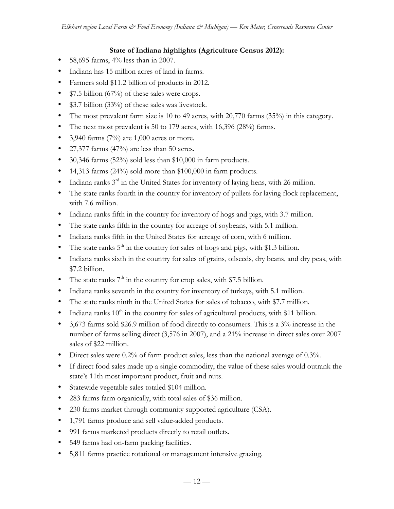## **State of Indiana highlights (Agriculture Census 2012):**

- 58,695 farms, 4% less than in 2007.
- Indiana has 15 million acres of land in farms.
- Farmers sold \$11.2 billion of products in 2012.
- \$7.5 billion (67%) of these sales were crops.
- \$3.7 billion (33%) of these sales was livestock.
- The most prevalent farm size is 10 to 49 acres, with 20,770 farms (35%) in this category.
- The next most prevalent is 50 to 179 acres, with 16,396 (28%) farms.
- 3,940 farms  $(7%)$  are 1,000 acres or more.
- 27,377 farms (47%) are less than 50 acres.
- 30,346 farms (52%) sold less than \$10,000 in farm products.
- 14,313 farms (24%) sold more than \$100,000 in farm products.
- Indiana ranks  $3^{rd}$  in the United States for inventory of laying hens, with 26 million.
- The state ranks fourth in the country for inventory of pullets for laying flock replacement, with 7.6 million.
- Indiana ranks fifth in the country for inventory of hogs and pigs, with 3.7 million.
- The state ranks fifth in the country for acreage of soybeans, with 5.1 million.
- Indiana ranks fifth in the United States for acreage of corn, with 6 million.
- The state ranks  $5<sup>th</sup>$  in the country for sales of hogs and pigs, with \$1.3 billion.
- Indiana ranks sixth in the country for sales of grains, oilseeds, dry beans, and dry peas, with \$7.2 billion.
- The state ranks  $7<sup>th</sup>$  in the country for crop sales, with \$7.5 billion.
- Indiana ranks seventh in the country for inventory of turkeys, with 5.1 million.
- The state ranks ninth in the United States for sales of tobacco, with \$7.7 million.
- Indiana ranks  $10<sup>th</sup>$  in the country for sales of agricultural products, with \$11 billion.
- 3,673 farms sold \$26.9 million of food directly to consumers. This is a 3% increase in the number of farms selling direct (3,576 in 2007), and a 21% increase in direct sales over 2007 sales of \$22 million.
- Direct sales were 0.2% of farm product sales, less than the national average of 0.3%.
- If direct food sales made up a single commodity, the value of these sales would outrank the state's 11th most important product, fruit and nuts.
- Statewide vegetable sales totaled \$104 million.
- 283 farms farm organically, with total sales of \$36 million.
- 230 farms market through community supported agriculture (CSA).
- 1,791 farms produce and sell value-added products.
- 991 farms marketed products directly to retail outlets.
- 549 farms had on-farm packing facilities.
- 5,811 farms practice rotational or management intensive grazing.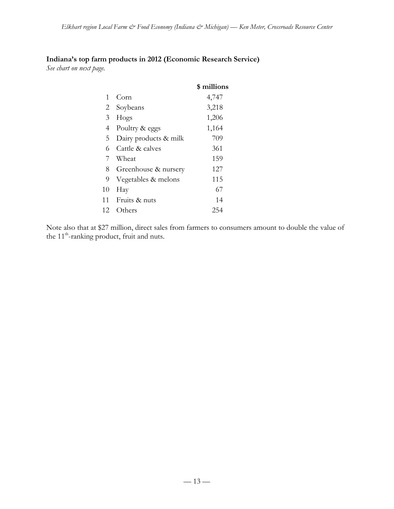# **Indiana's top farm products in 2012 (Economic Research Service)**

*See chart on next page.*

|    |                       | \$ millions |
|----|-----------------------|-------------|
| 1  | Corn                  | 4,747       |
| 2  | Soybeans              | 3,218       |
| 3  | Hogs                  | 1,206       |
| 4  | Poultry & eggs        | 1,164       |
| 5  | Dairy products & milk | 709         |
| 6  | Cattle & calves       | 361         |
| 7  | Wheat                 | 159         |
| 8  | Greenhouse & nursery  | 127         |
| 9  | Vegetables & melons   | 115         |
| 10 | Hay                   | 67          |
| 11 | Fruits & nuts         | 14          |
| 12 | Others                | 254         |

Note also that at \$27 million, direct sales from farmers to consumers amount to double the value of the 11<sup>th</sup>-ranking product, fruit and nuts.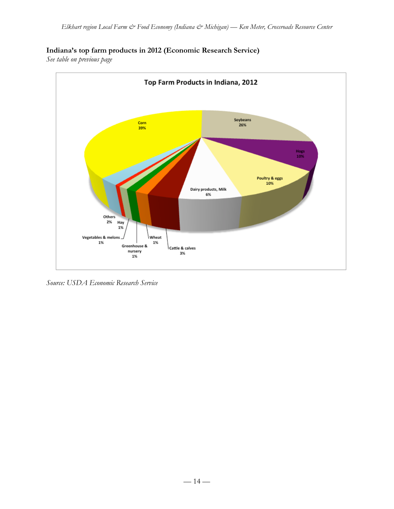# **Indiana's top farm products in 2012 (Economic Research Service)**

*See table on previous page*



*Source: USDA Economic Research Service*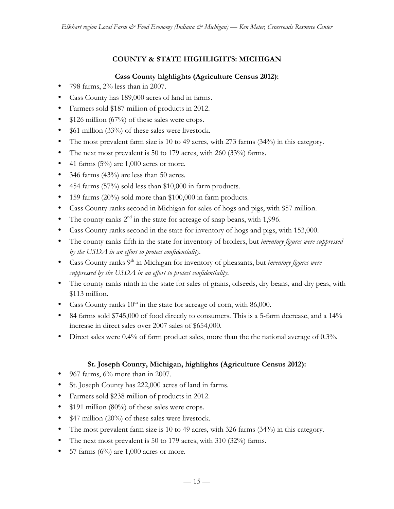# **COUNTY & STATE HIGHLIGHTS: MICHIGAN**

## **Cass County highlights (Agriculture Census 2012):**

- 798 farms, 2% less than in 2007.
- Cass County has 189,000 acres of land in farms.
- Farmers sold \$187 million of products in 2012.
- \$126 million (67%) of these sales were crops.
- \$61 million (33%) of these sales were livestock.
- The most prevalent farm size is 10 to 49 acres, with 273 farms (34%) in this category.
- The next most prevalent is 50 to 179 acres, with 260 (33%) farms.
- 41 farms  $(5\%)$  are 1,000 acres or more.
- 346 farms (43%) are less than 50 acres.
- 454 farms (57%) sold less than \$10,000 in farm products.
- 159 farms (20%) sold more than \$100,000 in farm products.
- Cass County ranks second in Michigan for sales of hogs and pigs, with \$57 million.
- The county ranks  $2<sup>nd</sup>$  in the state for acreage of snap beans, with 1,996.
- Cass County ranks second in the state for inventory of hogs and pigs, with 153,000.
- The county ranks fifth in the state for inventory of broilers, but *inventory figures were suppressed by the USDA in an effort to protect confidentiality.*
- Cass County ranks 9th in Michigan for inventory of pheasants, but *inventory figures were suppressed by the USDA in an effort to protect confidentiality.*
- The county ranks ninth in the state for sales of grains, oilseeds, dry beans, and dry peas, with \$113 million.
- Cass County ranks  $10^{th}$  in the state for acreage of corn, with 86,000.
- 84 farms sold \$745,000 of food directly to consumers. This is a 5-farm decrease, and a 14% increase in direct sales over 2007 sales of \$654,000.
- Direct sales were 0.4% of farm product sales, more than the the national average of 0.3%.

# **St. Joseph County, Michigan, highlights (Agriculture Census 2012):**

- 967 farms,  $6\%$  more than in 2007.
- St. Joseph County has 222,000 acres of land in farms.
- Farmers sold \$238 million of products in 2012.
- \$191 million (80%) of these sales were crops.
- \$47 million (20%) of these sales were livestock.
- The most prevalent farm size is 10 to 49 acres, with 326 farms (34%) in this category.
- The next most prevalent is 50 to 179 acres, with 310 (32%) farms.
- 57 farms  $(6\%)$  are 1,000 acres or more.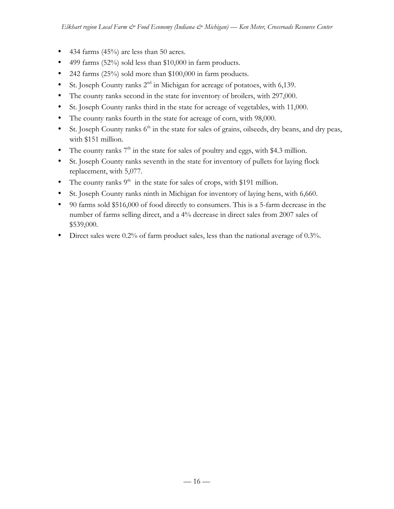- 434 farms (45%) are less than 50 acres.
- 499 farms (52%) sold less than \$10,000 in farm products.
- 242 farms (25%) sold more than \$100,000 in farm products.
- St. Joseph County ranks  $2<sup>nd</sup>$  in Michigan for acreage of potatoes, with 6,139.
- The county ranks second in the state for inventory of broilers, with 297,000.
- St. Joseph County ranks third in the state for acreage of vegetables, with 11,000.
- The county ranks fourth in the state for acreage of corn, with 98,000.
- St. Joseph County ranks  $6<sup>th</sup>$  in the state for sales of grains, oilseeds, dry beans, and dry peas, with \$151 million.
- The county ranks  $7<sup>th</sup>$  in the state for sales of poultry and eggs, with \$4.3 million.
- St. Joseph County ranks seventh in the state for inventory of pullets for laying flock replacement, with 5,077.
- The county ranks  $9<sup>th</sup>$  in the state for sales of crops, with \$191 million.
- St. Joseph County ranks ninth in Michigan for inventory of laying hens, with 6,660.
- 90 farms sold \$516,000 of food directly to consumers. This is a 5-farm decrease in the number of farms selling direct, and a 4% decrease in direct sales from 2007 sales of \$539,000.
- Direct sales were 0.2% of farm product sales, less than the national average of 0.3%.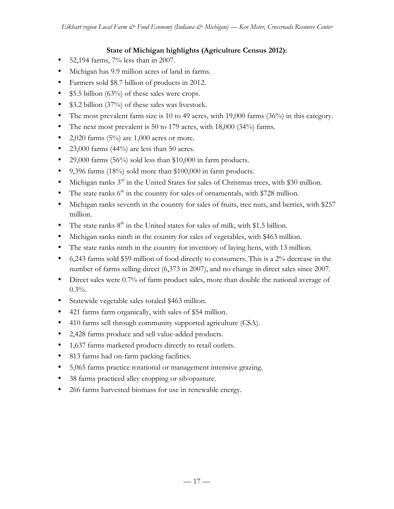## **State of Michigan highlights (Agriculture Census 2012):**

- 52,194 farms, 7% less than in 2007.
- Michigan has 9.9 million acres of land in farms.
- Farmers sold \$8.7 billion of products in 2012.
- \$5.5 billion (63%) of these sales were crops.
- \$3.2 billion (37%) of these sales was livestock.
- The most prevalent farm size is 10 to 49 acres, with 19,000 farms (36%) in this category.
- The next most prevalent is 50 to 179 acres, with 18,000 (34%) farms.
- 2,020 farms  $(5\%)$  are 1,000 acres or more.
- 23,000 farms  $(44\%)$  are less than 50 acres.
- 29,000 farms (56%) sold less than \$10,000 in farm products.
- 9,396 farms (18%) sold more than \$100,000 in farm products.
- Michigan ranks 3<sup>rd</sup> in the United States for sales of Christmas trees, with \$30 million.
- The state ranks  $6<sup>th</sup>$  in the country for sales of ornamentals, with \$728 million.
- Michigan ranks seventh in the country for sales of fruits, tree nuts, and berries, with \$257 million.
- The state ranks  $8<sup>th</sup>$  in the United states for sales of milk, with \$1.5 billion.
- Michigan ranks ninth in the country for sales of vegetables, with \$463 million.
- The state ranks ninth in the country for inventory of laying hens, with 13 million.
- 6,243 farms sold \$59 million of food directly to consumers. This is a 2% decrease in the number of farms selling direct (6,373 in 2007), and no change in direct sales since 2007.
- Direct sales were 0.7% of farm product sales, more than double the national average of  $0.3%$ .
- Statewide vegetable sales totaled \$463 million.
- 421 farms farm organically, with sales of \$54 million.
- 410 farms sell through community supported agriculture (CSA).
- 2,428 farms produce and sell value-added products.
- 1,637 farms marketed products directly to retail outlets.
- 813 farms had on-farm packing facilities.
- 5,065 farms practice rotational or management intensive grazing.
- 38 farms practiced alley cropping or silvopasture.
- 266 farms harvested biomass for use in renewable energy.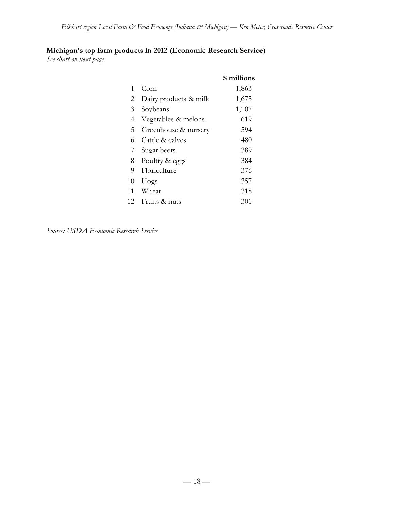# **Michigan's top farm products in 2012 (Economic Research Service)**

*See chart on next page.*

|    |                       | \$ millions |
|----|-----------------------|-------------|
| 1  | Corn                  | 1,863       |
| 2  | Dairy products & milk | 1,675       |
| 3  | Soybeans              | 1,107       |
| 4  | Vegetables & melons   | 619         |
| 5  | Greenhouse & nursery  | 594         |
| 6  | Cattle & calves       | 480         |
| 7  | Sugar beets           | 389         |
| 8  | Poultry & eggs        | 384         |
| 9  | Floriculture          | 376         |
| 10 | Hogs                  | 357         |
| 11 | Wheat                 | 318         |
| 12 | Fruits & nuts         | 301         |

*Source: USDA Economic Research Service*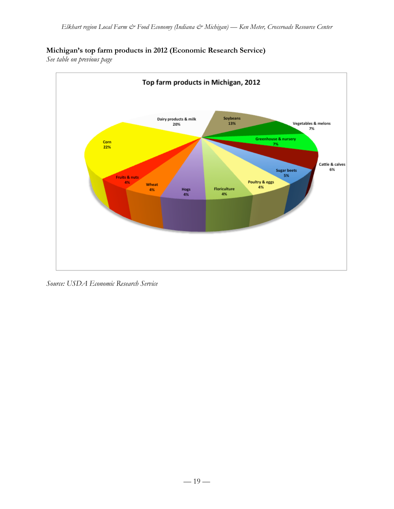# **Michigan's top farm products in 2012 (Economic Research Service)**

*See table on previous page*



*Source: USDA Economic Research Service*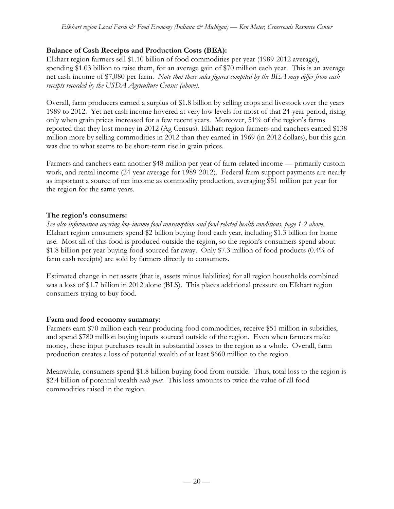## **Balance of Cash Receipts and Production Costs (BEA):**

Elkhart region farmers sell \$1.10 billion of food commodities per year (1989-2012 average), spending \$1.03 billion to raise them, for an average gain of \$70 million each year. This is an average net cash income of \$7,080 per farm. *Note that these sales figures compiled by the BEA may differ from cash receipts recorded by the USDA Agriculture Census (above).*

Overall, farm producers earned a surplus of \$1.8 billion by selling crops and livestock over the years 1989 to 2012. Yet net cash income hovered at very low levels for most of that 24-year period, rising only when grain prices increased for a few recent years. Moreover, 51% of the region's farms reported that they lost money in 2012 (Ag Census). Elkhart region farmers and ranchers earned \$138 million more by selling commodities in 2012 than they earned in 1969 (in 2012 dollars), but this gain was due to what seems to be short-term rise in grain prices.

Farmers and ranchers earn another \$48 million per year of farm-related income — primarily custom work, and rental income (24-year average for 1989-2012). Federal farm support payments are nearly as important a source of net income as commodity production, averaging \$51 million per year for the region for the same years.

## **The region's consumers:**

*See also information covering low-income food consumption and food-related health conditions, page 1-2 above.* Elkhart region consumers spend \$2 billion buying food each year, including \$1.3 billion for home use. Most all of this food is produced outside the region, so the region's consumers spend about \$1.8 billion per year buying food sourced far away. Only \$7.3 million of food products (0.4% of farm cash receipts) are sold by farmers directly to consumers.

Estimated change in net assets (that is, assets minus liabilities) for all region households combined was a loss of \$1.7 billion in 2012 alone (BLS). This places additional pressure on Elkhart region consumers trying to buy food.

### **Farm and food economy summary:**

Farmers earn \$70 million each year producing food commodities, receive \$51 million in subsidies, and spend \$780 million buying inputs sourced outside of the region. Even when farmers make money, these input purchases result in substantial losses to the region as a whole. Overall, farm production creates a loss of potential wealth of at least \$660 million to the region.

Meanwhile, consumers spend \$1.8 billion buying food from outside. Thus, total loss to the region is \$2.4 billion of potential wealth *each year*. This loss amounts to twice the value of all food commodities raised in the region.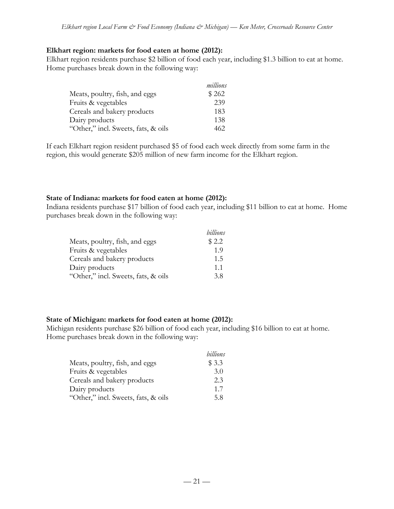#### **Elkhart region: markets for food eaten at home (2012):**

Elkhart region residents purchase \$2 billion of food each year, including \$1.3 billion to eat at home. Home purchases break down in the following way:

|                                     | millions |
|-------------------------------------|----------|
| Meats, poultry, fish, and eggs      | \$262    |
| Fruits & vegetables                 | 239      |
| Cereals and bakery products         | 183      |
| Dairy products                      | 138      |
| "Other," incl. Sweets, fats, & oils | 462.     |

If each Elkhart region resident purchased \$5 of food each week directly from some farm in the region, this would generate \$205 million of new farm income for the Elkhart region.

### **State of Indiana: markets for food eaten at home (2012):**

Indiana residents purchase \$17 billion of food each year, including \$11 billion to eat at home. Home purchases break down in the following way:

|                                     | billions |
|-------------------------------------|----------|
| Meats, poultry, fish, and eggs      | \$2.2    |
| Fruits & vegetables                 | 1.9      |
| Cereals and bakery products         | 1.5      |
| Dairy products                      | 11       |
| "Other," incl. Sweets, fats, & oils | 3.8      |

#### **State of Michigan: markets for food eaten at home (2012):**

Michigan residents purchase \$26 billion of food each year, including \$16 billion to eat at home. Home purchases break down in the following way:

|                                     | billions |
|-------------------------------------|----------|
| Meats, poultry, fish, and eggs      | \$3.3    |
| Fruits & vegetables                 | 3.0      |
| Cereals and bakery products         | 2.3      |
| Dairy products                      | 1.7      |
| "Other," incl. Sweets, fats, & oils | 5.8      |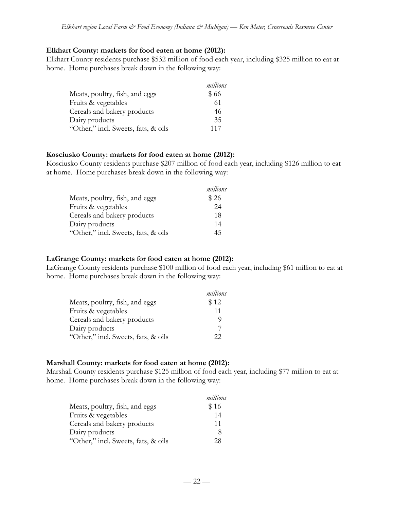#### **Elkhart County: markets for food eaten at home (2012):**

Elkhart County residents purchase \$532 million of food each year, including \$325 million to eat at home. Home purchases break down in the following way:

|                                     | millions |
|-------------------------------------|----------|
| Meats, poultry, fish, and eggs      | \$66     |
| Fruits & vegetables                 | 61       |
| Cereals and bakery products         | 46       |
| Dairy products                      | 35       |
| "Other," incl. Sweets, fats, & oils | 117      |

#### **Kosciusko County: markets for food eaten at home (2012):**

Kosciusko County residents purchase \$207 million of food each year, including \$126 million to eat at home. Home purchases break down in the following way:

|                                     | millions |
|-------------------------------------|----------|
| Meats, poultry, fish, and eggs      | \$26     |
| Fruits & vegetables                 | 24       |
| Cereals and bakery products         | 18       |
| Dairy products                      | 14       |
| "Other," incl. Sweets, fats, & oils | 45       |

### **LaGrange County: markets for food eaten at home (2012):**

LaGrange County residents purchase \$100 million of food each year, including \$61 million to eat at home. Home purchases break down in the following way:

|                                     | millions |
|-------------------------------------|----------|
| Meats, poultry, fish, and eggs      | \$12     |
| Fruits & vegetables                 | 11       |
| Cereals and bakery products         | O)       |
| Dairy products                      |          |
| "Other," incl. Sweets, fats, & oils | フフ       |

### **Marshall County: markets for food eaten at home (2012):**

Marshall County residents purchase \$125 million of food each year, including \$77 million to eat at home. Home purchases break down in the following way:

|                                     | millions |
|-------------------------------------|----------|
| Meats, poultry, fish, and eggs      | \$16     |
| Fruits & vegetables                 | 14       |
| Cereals and bakery products         | 11       |
| Dairy products                      | 8        |
| "Other," incl. Sweets, fats, & oils | 28       |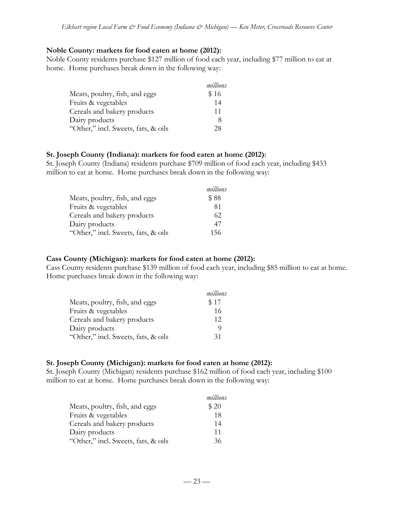#### **Noble County: markets for food eaten at home (2012):**

Noble County residents purchase \$127 million of food each year, including \$77 million to eat at home. Home purchases break down in the following way:

|                                     | millions |
|-------------------------------------|----------|
| Meats, poultry, fish, and eggs      | \$16     |
| Fruits & vegetables                 | 14       |
| Cereals and bakery products         | 11       |
| Dairy products                      | 8        |
| "Other," incl. Sweets, fats, & oils | 28.      |

#### **St. Joseph County (Indiana): markets for food eaten at home (2012):**

St. Joseph County (Indiana) residents purchase \$709 million of food each year, including \$433 million to eat at home. Home purchases break down in the following way:

|                                     | millions |
|-------------------------------------|----------|
| Meats, poultry, fish, and eggs      | \$88     |
| Fruits & vegetables                 | 81       |
| Cereals and bakery products         | 62       |
| Dairy products                      | 47       |
| "Other," incl. Sweets, fats, & oils | 156      |

### **Cass County (Michigan): markets for food eaten at home (2012):**

Cass County residents purchase \$139 million of food each year, including \$85 million to eat at home. Home purchases break down in the following way:

|                                     | millions |
|-------------------------------------|----------|
| Meats, poultry, fish, and eggs      | \$17     |
| Fruits & vegetables                 | 16       |
| Cereals and bakery products         | 12       |
| Dairy products                      | O)       |
| "Other," incl. Sweets, fats, & oils | 31       |

### **St. Joseph County (Michigan): markets for food eaten at home (2012):**

St. Joseph County (Michigan) residents purchase \$162 million of food each year, including \$100 million to eat at home. Home purchases break down in the following way:

|                                     | millions |
|-------------------------------------|----------|
| Meats, poultry, fish, and eggs      | \$20     |
| Fruits & vegetables                 | 18       |
| Cereals and bakery products         | 14       |
| Dairy products                      | 11       |
| "Other," incl. Sweets, fats, & oils | 36       |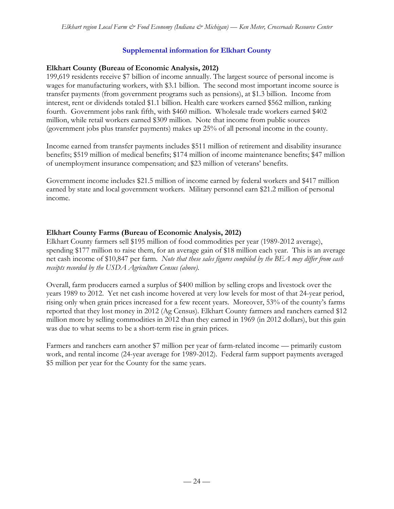## **Supplemental information for Elkhart County**

## **Elkhart County (Bureau of Economic Analysis, 2012)**

199,619 residents receive \$7 billion of income annually. The largest source of personal income is wages for manufacturing workers, with \$3.1 billion. The second most important income source is transfer payments (from government programs such as pensions), at \$1.3 billion. Income from interest, rent or dividends totaled \$1.1 billion. Health care workers earned \$562 million, ranking fourth. Government jobs rank fifth, with \$460 million. Wholesale trade workers earned \$402 million, while retail workers earned \$309 million. Note that income from public sources (government jobs plus transfer payments) makes up 25% of all personal income in the county.

Income earned from transfer payments includes \$511 million of retirement and disability insurance benefits; \$519 million of medical benefits; \$174 million of income maintenance benefits; \$47 million of unemployment insurance compensation; and \$23 million of veterans' benefits.

Government income includes \$21.5 million of income earned by federal workers and \$417 million earned by state and local government workers. Military personnel earn \$21.2 million of personal income.

## **Elkhart County Farms (Bureau of Economic Analysis, 2012)**

Elkhart County farmers sell \$195 million of food commodities per year (1989-2012 average), spending \$177 million to raise them, for an average gain of \$18 million each year. This is an average net cash income of \$10,847 per farm. *Note that these sales figures compiled by the BEA may differ from cash receipts recorded by the USDA Agriculture Census (above).*

Overall, farm producers earned a surplus of \$400 million by selling crops and livestock over the years 1989 to 2012. Yet net cash income hovered at very low levels for most of that 24-year period, rising only when grain prices increased for a few recent years. Moreover, 53% of the county's farms reported that they lost money in 2012 (Ag Census). Elkhart County farmers and ranchers earned \$12 million more by selling commodities in 2012 than they earned in 1969 (in 2012 dollars), but this gain was due to what seems to be a short-term rise in grain prices.

Farmers and ranchers earn another \$7 million per year of farm-related income — primarily custom work, and rental income (24-year average for 1989-2012). Federal farm support payments averaged \$5 million per year for the County for the same years.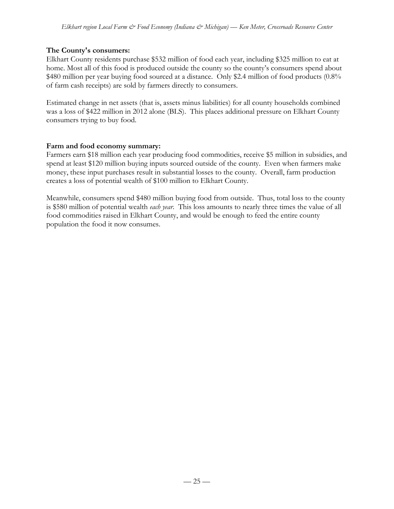### **The County's consumers:**

Elkhart County residents purchase \$532 million of food each year, including \$325 million to eat at home. Most all of this food is produced outside the county so the county's consumers spend about \$480 million per year buying food sourced at a distance. Only \$2.4 million of food products (0.8%) of farm cash receipts) are sold by farmers directly to consumers.

Estimated change in net assets (that is, assets minus liabilities) for all county households combined was a loss of \$422 million in 2012 alone (BLS). This places additional pressure on Elkhart County consumers trying to buy food.

## **Farm and food economy summary:**

Farmers earn \$18 million each year producing food commodities, receive \$5 million in subsidies, and spend at least \$120 million buying inputs sourced outside of the county. Even when farmers make money, these input purchases result in substantial losses to the county. Overall, farm production creates a loss of potential wealth of \$100 million to Elkhart County.

Meanwhile, consumers spend \$480 million buying food from outside. Thus, total loss to the county is \$580 million of potential wealth *each year*. This loss amounts to nearly three times the value of all food commodities raised in Elkhart County, and would be enough to feed the entire county population the food it now consumes.